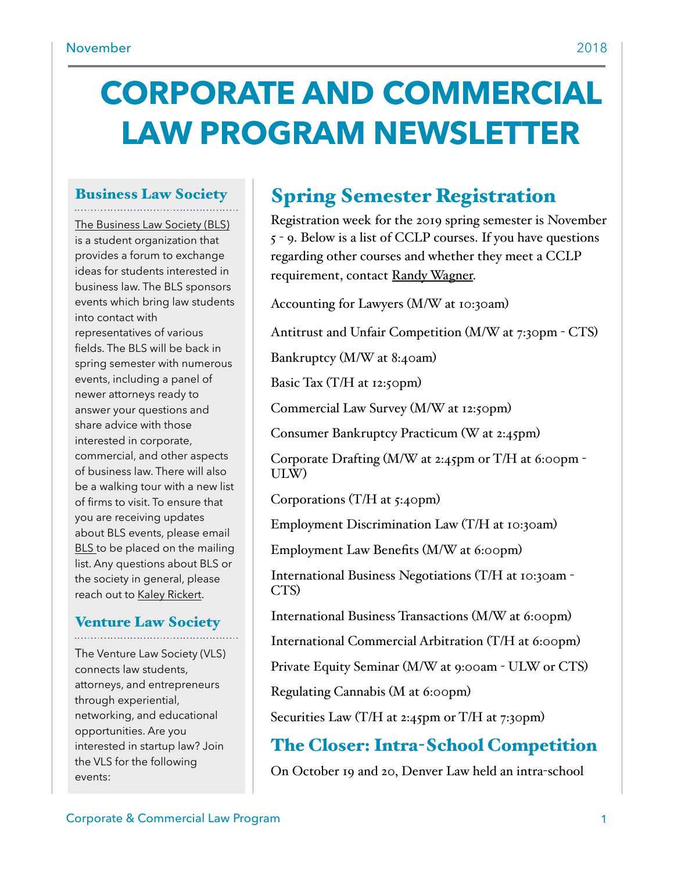# **CORPORATE AND COMMERCIAL LAW PROGRAM NEWSLETTER**

# Business Law Society

[The Business Law Society \(BLS\)](https://www.law.du.edu/studentorgs/business-law-society)  is a student organization that provides a forum to exchange ideas for students interested in business law. The BLS sponsors events which bring law students into contact with representatives of various fields. The BLS will be back in spring semester with numerous events, including a panel of newer attorneys ready to answer your questions and share advice with those interested in corporate, commercial, and other aspects of business law. There will also be a walking tour with a new list of firms to visit. To ensure that you are receiving updates about BLS events, please email [BLS t](mailto:BLS@law.du.edu)o be placed on the mailing list. Any questions about BLS or the society in general, please reach out to [Kaley Rickert](mailto:krickert21@law.du.edu).

### Venture Law Society

The Venture Law Society (VLS) connects law students, attorneys, and entrepreneurs through experiential, networking, and educational opportunities. Are you interested in startup law? Join the VLS for the following events:

# Spring Semester Registration

Registration week for the 2019 spring semester is November 5 - 9. Below is a list of CCLP courses. If you have questions regarding other courses and whether they meet a CCLP requirement, contact [Randy Wagner.](mailto:rwagner@law.du.edu)

Accounting for Lawyers (M/W at 10:30am)

Antitrust and Unfair Competition (M/W at 7:30pm - CTS)

Bankruptcy (M/W at 8:40am)

Basic Tax  $(T/H)$  at 12:50pm)

Commercial Law Survey (M/W at 12:50pm)

Consumer Bankruptcy Practicum (W at 2:45pm)

Corporate Drafting  $(M/W)$  at 2:45pm or T/H at 6:00pm -ULW)

Corporations  $(T/H$  at 5:40pm)

Employment Discrimination Law (T/H at 10:30am)

Employment Law Benefits (M/W at 6:00pm)

International Business Negotiations (T/H at 10:30am - CTS)

International Business Transactions (M/W at 6:00pm)

International Commercial Arbitration (T/H at 6:00pm)

Private Equity Seminar (M/W at 9:00am - ULW or CTS)

Regulating Cannabis (M at 6:00pm)

Securities Law (T/H at 2:45pm or T/H at 7:30pm)

# The Closer: Intra-School Competition

On October 19 and 20, Denver Law held an intra-school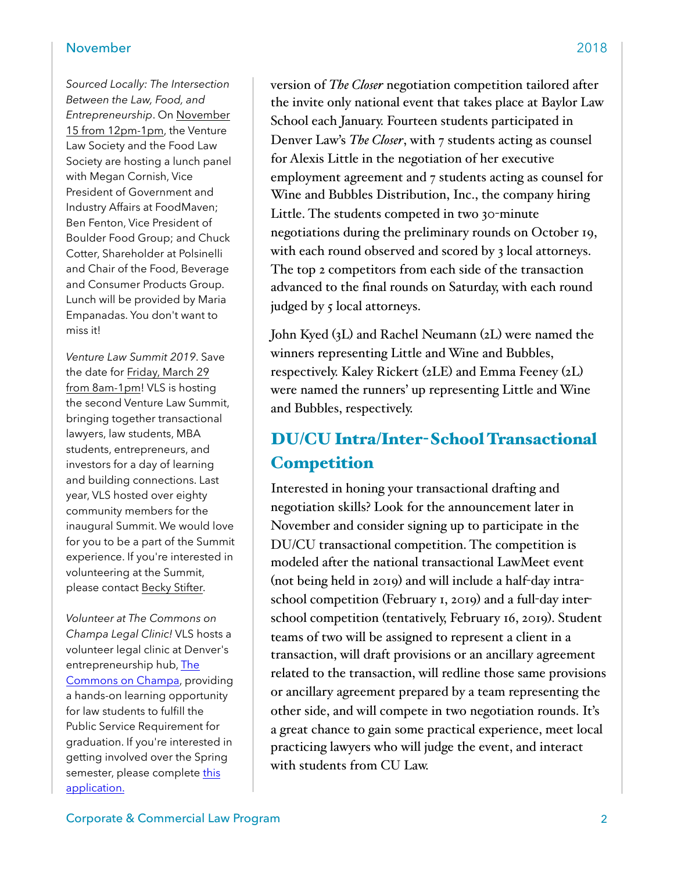#### November 2018

*Sourced Locally: The Intersection Between the Law, Food, and Entrepreneurship*. On November 15 from 12pm-1pm, the Venture Law Society and the Food Law Society are hosting a lunch panel with Megan Cornish, Vice President of Government and Industry Affairs at FoodMaven; Ben Fenton, Vice President of Boulder Food Group; and Chuck Cotter, Shareholder at Polsinelli and Chair of the Food, Beverage and Consumer Products Group. Lunch will be provided by Maria Empanadas. You don't want to miss it!

*Venture Law Summit 2019*. Save the date for Friday, March 29 from 8am-1pm! VLS is hosting the second Venture Law Summit, bringing together transactional lawyers, law students, MBA students, entrepreneurs, and investors for a day of learning and building connections. Last year, VLS hosted over eighty community members for the inaugural Summit. We would love for you to be a part of the Summit experience. If you're interested in volunteering at the Summit, please contact [Becky Stifter](mailto:rstifter19@law.du.edu).

*Volunteer at The Commons on Champa Legal Clinic!* VLS hosts a volunteer legal clinic at Denver's entrepreneurship hub, The [Commons on Champa](https://www.thecommons.co/), providing a hands-on learning opportunity for law students to fulfill the Public Service Requirement for graduation. If you're interested in getting involved over the Spring semester, please complete [this](https://docs.google.com/forms/d/e/1FAIpQLSffRXDevY9rk7qD17YNMFqREsrx_3qV7S52BN8bVQ-Z96KiNA/viewform)  [application.](https://docs.google.com/forms/d/e/1FAIpQLSffRXDevY9rk7qD17YNMFqREsrx_3qV7S52BN8bVQ-Z96KiNA/viewform)

version of *The Closer* negotiation competition tailored after the invite only national event that takes place at Baylor Law School each January. Fourteen students participated in Denver Law's *The Closer*, with 7 students acting as counsel for Alexis Little in the negotiation of her executive employment agreement and 7 students acting as counsel for Wine and Bubbles Distribution, Inc., the company hiring Little. The students competed in two 30-minute negotiations during the preliminary rounds on October 19, with each round observed and scored by 3 local attorneys. The top 2 competitors from each side of the transaction advanced to the final rounds on Saturday, with each round judged by 5 local attorneys.

John Kyed (3L) and Rachel Neumann (2L) were named the winners representing Little and Wine and Bubbles, respectively. Kaley Rickert (2LE) and Emma Feeney (2L) were named the runners' up representing Little and Wine and Bubbles, respectively.

# DU/CU Intra/Inter-School Transactional **Competition**

Interested in honing your transactional drafting and negotiation skills? Look for the announcement later in November and consider signing up to participate in the DU/CU transactional competition. The competition is modeled after the national transactional LawMeet event (not being held in 2019) and will include a half-day intraschool competition (February 1, 2019) and a full-day interschool competition (tentatively, February 16, 2019). Student teams of two will be assigned to represent a client in a transaction, will draft provisions or an ancillary agreement related to the transaction, will redline those same provisions or ancillary agreement prepared by a team representing the other side, and will compete in two negotiation rounds. It's a great chance to gain some practical experience, meet local practicing lawyers who will judge the event, and interact with students from CU Law.